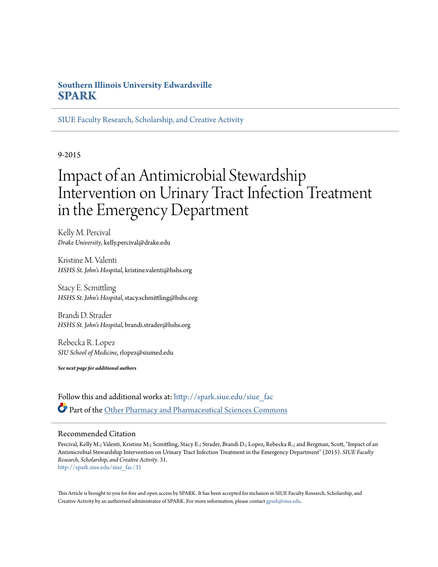# **Southern Illinois University Edwardsville [SPARK](http://spark.siue.edu?utm_source=spark.siue.edu%2Fsiue_fac%2F31&utm_medium=PDF&utm_campaign=PDFCoverPages)**

[SIUE Faculty Research, Scholarship, and Creative Activity](http://spark.siue.edu/siue_fac?utm_source=spark.siue.edu%2Fsiue_fac%2F31&utm_medium=PDF&utm_campaign=PDFCoverPages)

9-2015

# Impact of an Antimicrobial Stewardship Intervention on Urinary Tract Infection Treatment in the Emergency Department

Kelly M. Percival *Drake University*, kelly.percival@drake.edu

Kristine M. Valenti *HSHS St. John's Hospital*, kristine.valenti@hshs.org

Stacy E. Scmittling *HSHS St. John's Hospital*, stacy.schmittling@hshs.org

Brandi D. Strader *HSHS St. John's Hospital*, brandi.strader@hshs.org

Rebecka R. Lopez *SIU School of Medicine*, rlopez@siumed.edu

*See next page for additional authors*

Follow this and additional works at: [http://spark.siue.edu/siue\\_fac](http://spark.siue.edu/siue_fac?utm_source=spark.siue.edu%2Fsiue_fac%2F31&utm_medium=PDF&utm_campaign=PDFCoverPages) Part of the [Other Pharmacy and Pharmaceutical Sciences Commons](http://network.bepress.com/hgg/discipline/737?utm_source=spark.siue.edu%2Fsiue_fac%2F31&utm_medium=PDF&utm_campaign=PDFCoverPages)

#### Recommended Citation

Percival, Kelly M.; Valenti, Kristine M.; Scmittling, Stacy E.; Strader, Brandi D.; Lopez, Rebecka R.; and Bergman, Scott, "Impact of an Antimicrobial Stewardship Intervention on Urinary Tract Infection Treatment in the Emergency Department" (2015). *SIUE Faculty Research, Scholarship, and Creative Activity*. 31. [http://spark.siue.edu/siue\\_fac/31](http://spark.siue.edu/siue_fac/31?utm_source=spark.siue.edu%2Fsiue_fac%2F31&utm_medium=PDF&utm_campaign=PDFCoverPages)

This Article is brought to you for free and open access by SPARK. It has been accepted for inclusion in SIUE Faculty Research, Scholarship, and Creative Activity by an authorized administrator of SPARK. For more information, please contact [gpark@siue.edu](mailto:gpark@siue.edu).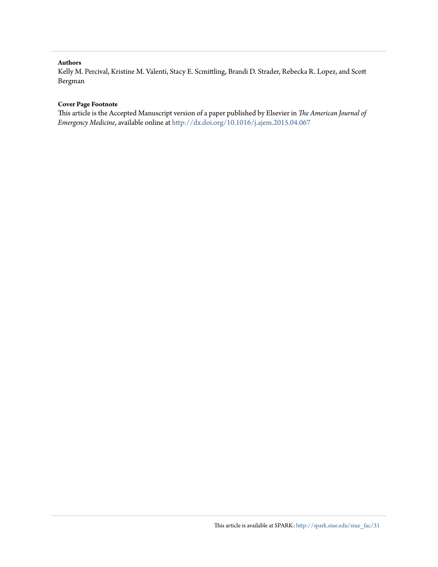#### **Authors**

Kelly M. Percival, Kristine M. Valenti, Stacy E. Scmittling, Brandi D. Strader, Rebecka R. Lopez, and Scott Bergman

#### **Cover Page Footnote**

This article is the Accepted Manuscript version of a paper published by Elsevier in *The American Journal of Emergency Medicine*, available online at <http://dx.doi.org/10.1016/j.ajem.2015.04.067>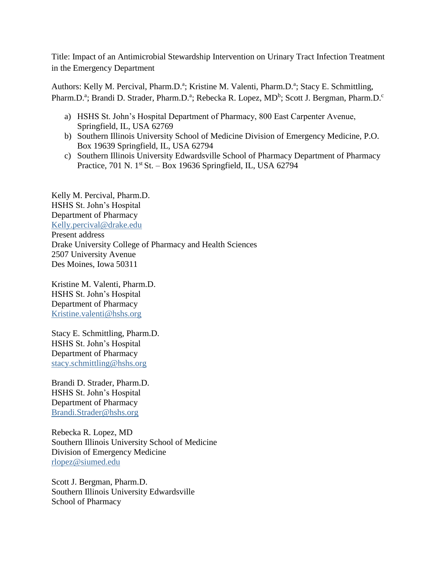Title: Impact of an Antimicrobial Stewardship Intervention on Urinary Tract Infection Treatment in the Emergency Department

Authors: Kelly M. Percival, Pharm.D.<sup>a</sup>; Kristine M. Valenti, Pharm.D.<sup>a</sup>; Stacy E. Schmittling, Pharm.D.<sup>a</sup>; Brandi D. Strader, Pharm.D.<sup>a</sup>; Rebecka R. Lopez, MD<sup>b</sup>; Scott J. Bergman, Pharm.D.<sup>c</sup>

- a) HSHS St. John's Hospital Department of Pharmacy, 800 East Carpenter Avenue, Springfield, IL, USA 62769
- b) Southern Illinois University School of Medicine Division of Emergency Medicine, P.O. Box 19639 Springfield, IL, USA 62794
- c) Southern Illinois University Edwardsville School of Pharmacy Department of Pharmacy Practice, 701 N. 1st St. – Box 19636 Springfield, IL, USA 62794

Kelly M. Percival, Pharm.D. HSHS St. John's Hospital Department of Pharmacy [Kelly.percival@drake.edu](mailto:Kelly.percival@drake.edu) Present address Drake University College of Pharmacy and Health Sciences 2507 University Avenue Des Moines, Iowa 50311

Kristine M. Valenti, Pharm.D. HSHS St. John's Hospital Department of Pharmacy [Kristine.valenti@hshs.org](mailto:Kristine.valenti@hshs.org)

Stacy E. Schmittling, Pharm.D. HSHS St. John's Hospital Department of Pharmacy [stacy.schmittling@hshs.org](mailto:stacy.schmittling@hshs.org)

Brandi D. Strader, Pharm.D. HSHS St. John's Hospital Department of Pharmacy [Brandi.Strader@hshs.org](mailto:Brandi.Strader@hshs.org)

Rebecka R. Lopez, MD Southern Illinois University School of Medicine Division of Emergency Medicine [rlopez@siumed.edu](mailto:rlopez@siumed.edu)

Scott J. Bergman, Pharm.D. Southern Illinois University Edwardsville School of Pharmacy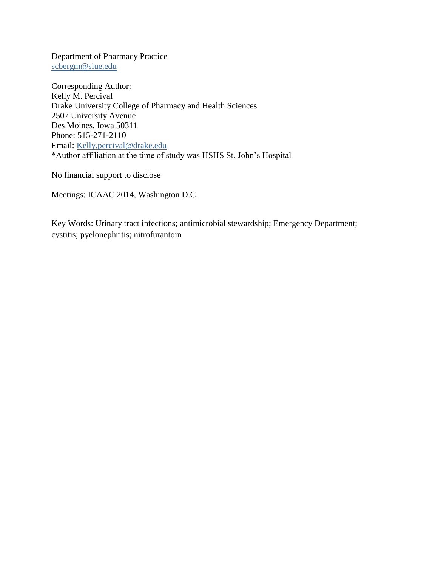Department of Pharmacy Practice [scbergm@siue.edu](mailto:scbergm@siue.edu)

Corresponding Author: Kelly M. Percival Drake University College of Pharmacy and Health Sciences 2507 University Avenue Des Moines, Iowa 50311 Phone: 515-271-2110 Email: [Kelly.percival@drake.edu](mailto:Kelly.percival@drake.edu) \*Author affiliation at the time of study was HSHS St. John's Hospital

No financial support to disclose

Meetings: ICAAC 2014, Washington D.C.

Key Words: Urinary tract infections; antimicrobial stewardship; Emergency Department; cystitis; pyelonephritis; nitrofurantoin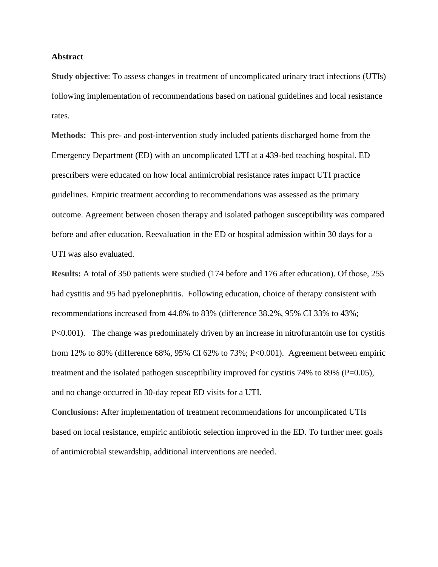#### **Abstract**

**Study objective**: To assess changes in treatment of uncomplicated urinary tract infections (UTIs) following implementation of recommendations based on national guidelines and local resistance rates.

**Methods:** This pre- and post-intervention study included patients discharged home from the Emergency Department (ED) with an uncomplicated UTI at a 439-bed teaching hospital. ED prescribers were educated on how local antimicrobial resistance rates impact UTI practice guidelines. Empiric treatment according to recommendations was assessed as the primary outcome. Agreement between chosen therapy and isolated pathogen susceptibility was compared before and after education. Reevaluation in the ED or hospital admission within 30 days for a UTI was also evaluated.

**Results:** A total of 350 patients were studied (174 before and 176 after education). Of those, 255 had cystitis and 95 had pyelonephritis. Following education, choice of therapy consistent with recommendations increased from 44.8% to 83% (difference 38.2%, 95% CI 33% to 43%; P<0.001). The change was predominately driven by an increase in nitrofurantoin use for cystitis from 12% to 80% (difference 68%, 95% CI 62% to 73%; P<0.001). Agreement between empiric treatment and the isolated pathogen susceptibility improved for cystitis 74% to 89% ( $P=0.05$ ), and no change occurred in 30-day repeat ED visits for a UTI.

**Conclusions:** After implementation of treatment recommendations for uncomplicated UTIs based on local resistance, empiric antibiotic selection improved in the ED. To further meet goals of antimicrobial stewardship, additional interventions are needed.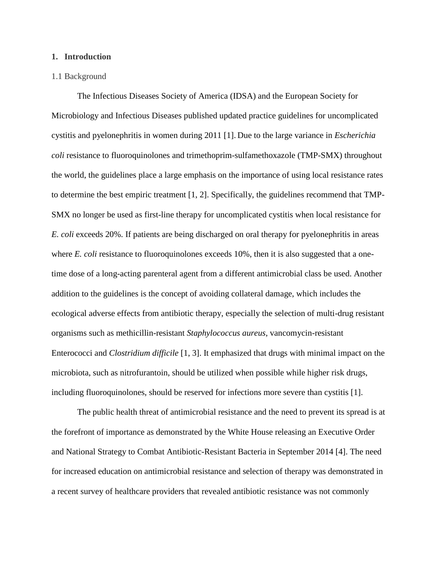#### **1. Introduction**

#### 1.1 Background

The Infectious Diseases Society of America (IDSA) and the European Society for Microbiology and Infectious Diseases published updated practice guidelines for uncomplicated cystitis and pyelonephritis in women during 2011 [1]. Due to the large variance in *Escherichia coli* resistance to fluoroquinolones and trimethoprim-sulfamethoxazole (TMP-SMX) throughout the world, the guidelines place a large emphasis on the importance of using local resistance rates to determine the best empiric treatment [1, 2]. Specifically, the guidelines recommend that TMP-SMX no longer be used as first-line therapy for uncomplicated cystitis when local resistance for *E. coli* exceeds 20%. If patients are being discharged on oral therapy for pyelonephritis in areas where *E. coli* resistance to fluoroquinolones exceeds 10%, then it is also suggested that a onetime dose of a long-acting parenteral agent from a different antimicrobial class be used. Another addition to the guidelines is the concept of avoiding collateral damage, which includes the ecological adverse effects from antibiotic therapy, especially the selection of multi-drug resistant organisms such as methicillin-resistant *Staphylococcus aureus*, vancomycin-resistant Enterococci and *Clostridium difficile* [1, 3]. It emphasized that drugs with minimal impact on the microbiota, such as nitrofurantoin, should be utilized when possible while higher risk drugs, including fluoroquinolones, should be reserved for infections more severe than cystitis [1].

The public health threat of antimicrobial resistance and the need to prevent its spread is at the forefront of importance as demonstrated by the White House releasing an Executive Order and National Strategy to Combat Antibiotic-Resistant Bacteria in September 2014 [4]. The need for increased education on antimicrobial resistance and selection of therapy was demonstrated in a recent survey of healthcare providers that revealed antibiotic resistance was not commonly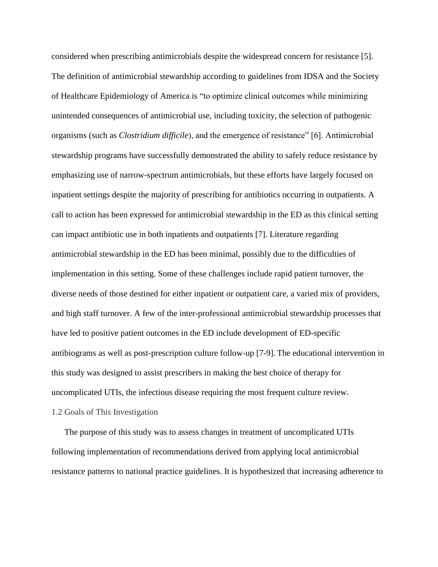considered when prescribing antimicrobials despite the widespread concern for resistance [5]. The definition of antimicrobial stewardship according to guidelines from IDSA and the Society of Healthcare Epidemiology of America is "to optimize clinical outcomes while minimizing unintended consequences of antimicrobial use, including toxicity, the selection of pathogenic organisms (such as *Clostridium difficile*), and the emergence of resistance" [6]. Antimicrobial stewardship programs have successfully demonstrated the ability to safely reduce resistance by emphasizing use of narrow-spectrum antimicrobials, but these efforts have largely focused on inpatient settings despite the majority of prescribing for antibiotics occurring in outpatients. A call to action has been expressed for antimicrobial stewardship in the ED as this clinical setting can impact antibiotic use in both inpatients and outpatients [7]. Literature regarding antimicrobial stewardship in the ED has been minimal, possibly due to the difficulties of implementation in this setting. Some of these challenges include rapid patient turnover, the diverse needs of those destined for either inpatient or outpatient care, a varied mix of providers, and high staff turnover. A few of the inter-professional antimicrobial stewardship processes that have led to positive patient outcomes in the ED include development of ED-specific antibiograms as well as post-prescription culture follow-up [7-9]. The educational intervention in this study was designed to assist prescribers in making the best choice of therapy for uncomplicated UTIs, the infectious disease requiring the most frequent culture review. 1.2 Goals of This Investigation

The purpose of this study was to assess changes in treatment of uncomplicated UTIs following implementation of recommendations derived from applying local antimicrobial resistance patterns to national practice guidelines. It is hypothesized that increasing adherence to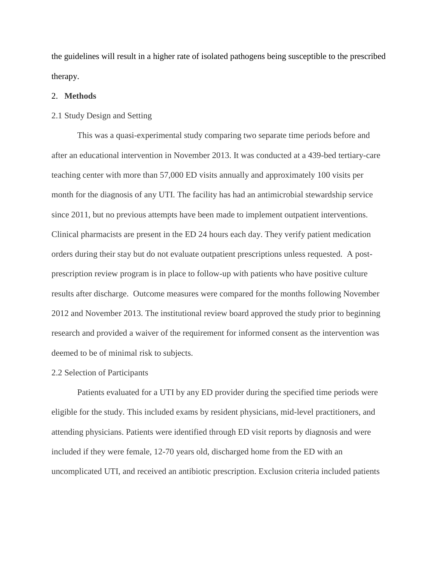the guidelines will result in a higher rate of isolated pathogens being susceptible to the prescribed therapy.

#### 2. **Methods**

#### 2.1 Study Design and Setting

This was a quasi-experimental study comparing two separate time periods before and after an educational intervention in November 2013. It was conducted at a 439-bed tertiary-care teaching center with more than 57,000 ED visits annually and approximately 100 visits per month for the diagnosis of any UTI. The facility has had an antimicrobial stewardship service since 2011, but no previous attempts have been made to implement outpatient interventions. Clinical pharmacists are present in the ED 24 hours each day. They verify patient medication orders during their stay but do not evaluate outpatient prescriptions unless requested. A postprescription review program is in place to follow-up with patients who have positive culture results after discharge. Outcome measures were compared for the months following November 2012 and November 2013. The institutional review board approved the study prior to beginning research and provided a waiver of the requirement for informed consent as the intervention was deemed to be of minimal risk to subjects.

#### 2.2 Selection of Participants

Patients evaluated for a UTI by any ED provider during the specified time periods were eligible for the study. This included exams by resident physicians, mid-level practitioners, and attending physicians. Patients were identified through ED visit reports by diagnosis and were included if they were female, 12-70 years old, discharged home from the ED with an uncomplicated UTI, and received an antibiotic prescription. Exclusion criteria included patients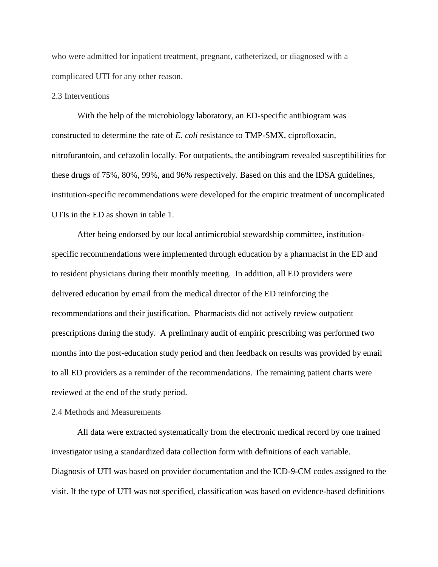who were admitted for inpatient treatment, pregnant, catheterized, or diagnosed with a complicated UTI for any other reason.

#### 2.3 Interventions

With the help of the microbiology laboratory, an ED-specific antibiogram was constructed to determine the rate of *E. coli* resistance to TMP-SMX, ciprofloxacin, nitrofurantoin, and cefazolin locally. For outpatients, the antibiogram revealed susceptibilities for these drugs of 75%, 80%, 99%, and 96% respectively. Based on this and the IDSA guidelines, institution-specific recommendations were developed for the empiric treatment of uncomplicated UTIs in the ED as shown in table 1.

After being endorsed by our local antimicrobial stewardship committee, institutionspecific recommendations were implemented through education by a pharmacist in the ED and to resident physicians during their monthly meeting. In addition, all ED providers were delivered education by email from the medical director of the ED reinforcing the recommendations and their justification. Pharmacists did not actively review outpatient prescriptions during the study. A preliminary audit of empiric prescribing was performed two months into the post-education study period and then feedback on results was provided by email to all ED providers as a reminder of the recommendations. The remaining patient charts were reviewed at the end of the study period.

#### 2.4 Methods and Measurements

All data were extracted systematically from the electronic medical record by one trained investigator using a standardized data collection form with definitions of each variable. Diagnosis of UTI was based on provider documentation and the ICD-9-CM codes assigned to the visit. If the type of UTI was not specified, classification was based on evidence-based definitions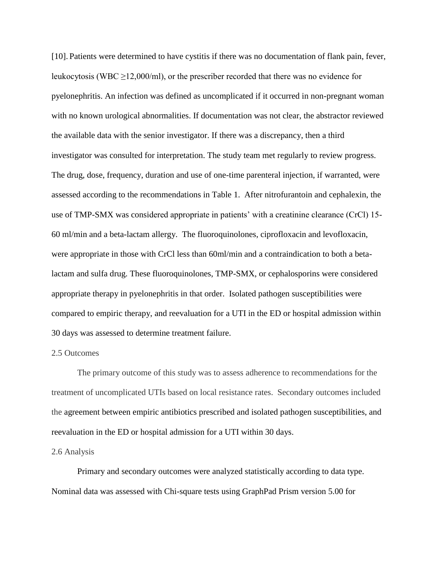[10]. Patients were determined to have cystitis if there was no documentation of flank pain, fever, leukocytosis (WBC  $\geq$ 12,000/ml), or the prescriber recorded that there was no evidence for pyelonephritis. An infection was defined as uncomplicated if it occurred in non-pregnant woman with no known urological abnormalities. If documentation was not clear, the abstractor reviewed the available data with the senior investigator. If there was a discrepancy, then a third investigator was consulted for interpretation. The study team met regularly to review progress. The drug, dose, frequency, duration and use of one-time parenteral injection, if warranted, were assessed according to the recommendations in Table 1. After nitrofurantoin and cephalexin, the use of TMP-SMX was considered appropriate in patients' with a creatinine clearance (CrCl) 15- 60 ml/min and a beta-lactam allergy. The fluoroquinolones, ciprofloxacin and levofloxacin, were appropriate in those with CrCl less than 60ml/min and a contraindication to both a betalactam and sulfa drug. These fluoroquinolones, TMP-SMX, or cephalosporins were considered appropriate therapy in pyelonephritis in that order. Isolated pathogen susceptibilities were compared to empiric therapy, and reevaluation for a UTI in the ED or hospital admission within 30 days was assessed to determine treatment failure.

#### 2.5 Outcomes

The primary outcome of this study was to assess adherence to recommendations for the treatment of uncomplicated UTIs based on local resistance rates. Secondary outcomes included the agreement between empiric antibiotics prescribed and isolated pathogen susceptibilities, and reevaluation in the ED or hospital admission for a UTI within 30 days.

#### 2.6 Analysis

Primary and secondary outcomes were analyzed statistically according to data type. Nominal data was assessed with Chi-square tests using GraphPad Prism version 5.00 for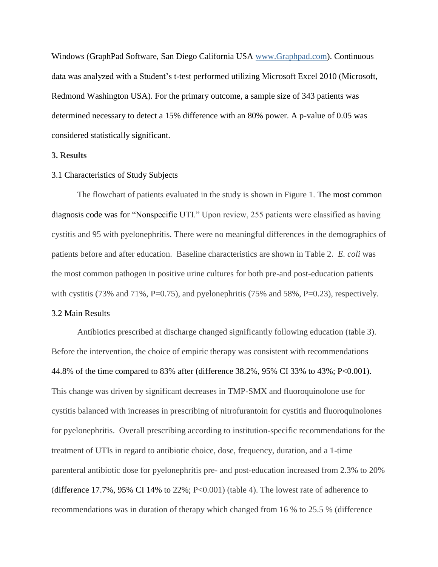Windows (GraphPad Software, San Diego California USA [www.Graphpad.com\)](http://www.graphpad.com/). Continuous data was analyzed with a Student's t-test performed utilizing Microsoft Excel 2010 (Microsoft, Redmond Washington USA). For the primary outcome, a sample size of 343 patients was determined necessary to detect a 15% difference with an 80% power. A p-value of 0.05 was considered statistically significant.

#### **3. Results**

#### 3.1 Characteristics of Study Subjects

The flowchart of patients evaluated in the study is shown in Figure 1. The most common diagnosis code was for "Nonspecific UTI." Upon review, 255 patients were classified as having cystitis and 95 with pyelonephritis. There were no meaningful differences in the demographics of patients before and after education. Baseline characteristics are shown in Table 2. *E. coli* was the most common pathogen in positive urine cultures for both pre-and post-education patients with cystitis (73% and 71%, P=0.75), and pyelonephritis (75% and 58%, P=0.23), respectively.

#### 3.2 Main Results

Antibiotics prescribed at discharge changed significantly following education (table 3). Before the intervention, the choice of empiric therapy was consistent with recommendations 44.8% of the time compared to 83% after (difference 38.2%, 95% CI 33% to 43%; P<0.001). This change was driven by significant decreases in TMP-SMX and fluoroquinolone use for cystitis balanced with increases in prescribing of nitrofurantoin for cystitis and fluoroquinolones for pyelonephritis. Overall prescribing according to institution-specific recommendations for the treatment of UTIs in regard to antibiotic choice, dose, frequency, duration, and a 1-time parenteral antibiotic dose for pyelonephritis pre- and post-education increased from 2.3% to 20% (difference 17.7%, 95% CI 14% to 22%; P<0.001) (table 4). The lowest rate of adherence to recommendations was in duration of therapy which changed from 16 % to 25.5 % (difference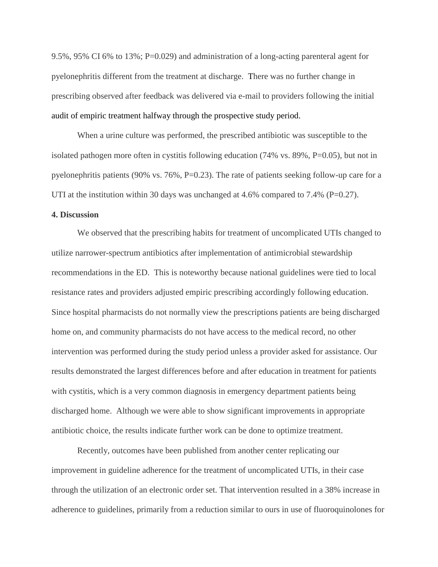9.5%, 95% CI 6% to 13%; P=0.029) and administration of a long-acting parenteral agent for pyelonephritis different from the treatment at discharge. There was no further change in prescribing observed after feedback was delivered via e-mail to providers following the initial audit of empiric treatment halfway through the prospective study period.

When a urine culture was performed, the prescribed antibiotic was susceptible to the isolated pathogen more often in cystitis following education (74% vs. 89%, P=0.05), but not in pyelonephritis patients (90% vs. 76%, P=0.23). The rate of patients seeking follow-up care for a UTI at the institution within 30 days was unchanged at 4.6% compared to 7.4% ( $P=0.27$ ).

#### **4. Discussion**

We observed that the prescribing habits for treatment of uncomplicated UTIs changed to utilize narrower-spectrum antibiotics after implementation of antimicrobial stewardship recommendations in the ED. This is noteworthy because national guidelines were tied to local resistance rates and providers adjusted empiric prescribing accordingly following education. Since hospital pharmacists do not normally view the prescriptions patients are being discharged home on, and community pharmacists do not have access to the medical record, no other intervention was performed during the study period unless a provider asked for assistance. Our results demonstrated the largest differences before and after education in treatment for patients with cystitis, which is a very common diagnosis in emergency department patients being discharged home. Although we were able to show significant improvements in appropriate antibiotic choice, the results indicate further work can be done to optimize treatment.

Recently, outcomes have been published from another center replicating our improvement in guideline adherence for the treatment of uncomplicated UTIs, in their case through the utilization of an electronic order set. That intervention resulted in a 38% increase in adherence to guidelines, primarily from a reduction similar to ours in use of fluoroquinolones for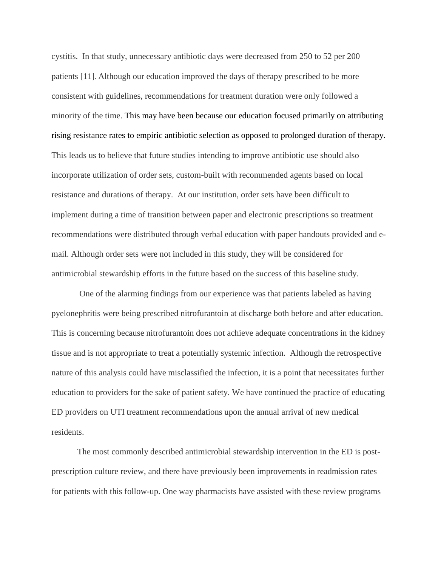cystitis. In that study, unnecessary antibiotic days were decreased from 250 to 52 per 200 patients [11]. Although our education improved the days of therapy prescribed to be more consistent with guidelines, recommendations for treatment duration were only followed a minority of the time. This may have been because our education focused primarily on attributing rising resistance rates to empiric antibiotic selection as opposed to prolonged duration of therapy. This leads us to believe that future studies intending to improve antibiotic use should also incorporate utilization of order sets, custom-built with recommended agents based on local resistance and durations of therapy. At our institution, order sets have been difficult to implement during a time of transition between paper and electronic prescriptions so treatment recommendations were distributed through verbal education with paper handouts provided and email. Although order sets were not included in this study, they will be considered for antimicrobial stewardship efforts in the future based on the success of this baseline study.

One of the alarming findings from our experience was that patients labeled as having pyelonephritis were being prescribed nitrofurantoin at discharge both before and after education. This is concerning because nitrofurantoin does not achieve adequate concentrations in the kidney tissue and is not appropriate to treat a potentially systemic infection. Although the retrospective nature of this analysis could have misclassified the infection, it is a point that necessitates further education to providers for the sake of patient safety. We have continued the practice of educating ED providers on UTI treatment recommendations upon the annual arrival of new medical residents.

The most commonly described antimicrobial stewardship intervention in the ED is postprescription culture review, and there have previously been improvements in readmission rates for patients with this follow-up. One way pharmacists have assisted with these review programs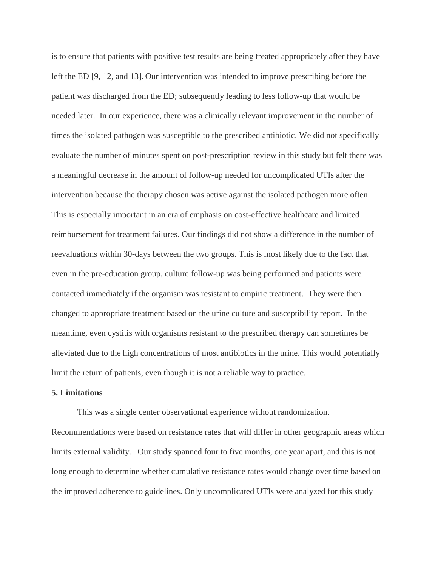is to ensure that patients with positive test results are being treated appropriately after they have left the ED [9, 12, and 13]. Our intervention was intended to improve prescribing before the patient was discharged from the ED; subsequently leading to less follow-up that would be needed later. In our experience, there was a clinically relevant improvement in the number of times the isolated pathogen was susceptible to the prescribed antibiotic. We did not specifically evaluate the number of minutes spent on post-prescription review in this study but felt there was a meaningful decrease in the amount of follow-up needed for uncomplicated UTIs after the intervention because the therapy chosen was active against the isolated pathogen more often. This is especially important in an era of emphasis on cost-effective healthcare and limited reimbursement for treatment failures. Our findings did not show a difference in the number of reevaluations within 30-days between the two groups. This is most likely due to the fact that even in the pre-education group, culture follow-up was being performed and patients were contacted immediately if the organism was resistant to empiric treatment. They were then changed to appropriate treatment based on the urine culture and susceptibility report. In the meantime, even cystitis with organisms resistant to the prescribed therapy can sometimes be alleviated due to the high concentrations of most antibiotics in the urine. This would potentially limit the return of patients, even though it is not a reliable way to practice.

#### **5. Limitations**

This was a single center observational experience without randomization. Recommendations were based on resistance rates that will differ in other geographic areas which limits external validity. Our study spanned four to five months, one year apart, and this is not long enough to determine whether cumulative resistance rates would change over time based on the improved adherence to guidelines. Only uncomplicated UTIs were analyzed for this study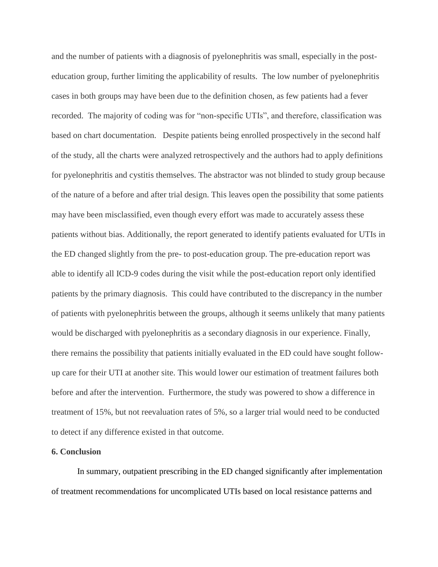and the number of patients with a diagnosis of pyelonephritis was small, especially in the posteducation group, further limiting the applicability of results. The low number of pyelonephritis cases in both groups may have been due to the definition chosen, as few patients had a fever recorded. The majority of coding was for "non-specific UTIs", and therefore, classification was based on chart documentation. Despite patients being enrolled prospectively in the second half of the study, all the charts were analyzed retrospectively and the authors had to apply definitions for pyelonephritis and cystitis themselves. The abstractor was not blinded to study group because of the nature of a before and after trial design. This leaves open the possibility that some patients may have been misclassified, even though every effort was made to accurately assess these patients without bias. Additionally, the report generated to identify patients evaluated for UTIs in the ED changed slightly from the pre- to post-education group. The pre-education report was able to identify all ICD-9 codes during the visit while the post-education report only identified patients by the primary diagnosis. This could have contributed to the discrepancy in the number of patients with pyelonephritis between the groups, although it seems unlikely that many patients would be discharged with pyelonephritis as a secondary diagnosis in our experience. Finally, there remains the possibility that patients initially evaluated in the ED could have sought followup care for their UTI at another site. This would lower our estimation of treatment failures both before and after the intervention. Furthermore, the study was powered to show a difference in treatment of 15%, but not reevaluation rates of 5%, so a larger trial would need to be conducted to detect if any difference existed in that outcome.

#### **6. Conclusion**

In summary, outpatient prescribing in the ED changed significantly after implementation of treatment recommendations for uncomplicated UTIs based on local resistance patterns and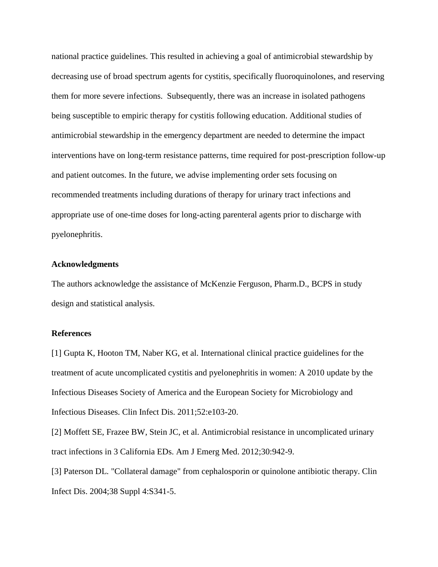national practice guidelines. This resulted in achieving a goal of antimicrobial stewardship by decreasing use of broad spectrum agents for cystitis, specifically fluoroquinolones, and reserving them for more severe infections. Subsequently, there was an increase in isolated pathogens being susceptible to empiric therapy for cystitis following education. Additional studies of antimicrobial stewardship in the emergency department are needed to determine the impact interventions have on long-term resistance patterns, time required for post-prescription follow-up and patient outcomes. In the future, we advise implementing order sets focusing on recommended treatments including durations of therapy for urinary tract infections and appropriate use of one-time doses for long-acting parenteral agents prior to discharge with pyelonephritis.

#### **Acknowledgments**

The authors acknowledge the assistance of McKenzie Ferguson, Pharm.D., BCPS in study design and statistical analysis.

#### **References**

[1] Gupta K, Hooton TM, Naber KG, et al. International clinical practice guidelines for the treatment of acute uncomplicated cystitis and pyelonephritis in women: A 2010 update by the Infectious Diseases Society of America and the European Society for Microbiology and Infectious Diseases. Clin Infect Dis. 2011;52:e103-20.

[2] Moffett SE, Frazee BW, Stein JC, et al. Antimicrobial resistance in uncomplicated urinary tract infections in 3 California EDs. Am J Emerg Med. 2012;30:942-9.

[3] Paterson DL. "Collateral damage" from cephalosporin or quinolone antibiotic therapy. Clin Infect Dis. 2004;38 Suppl 4:S341-5.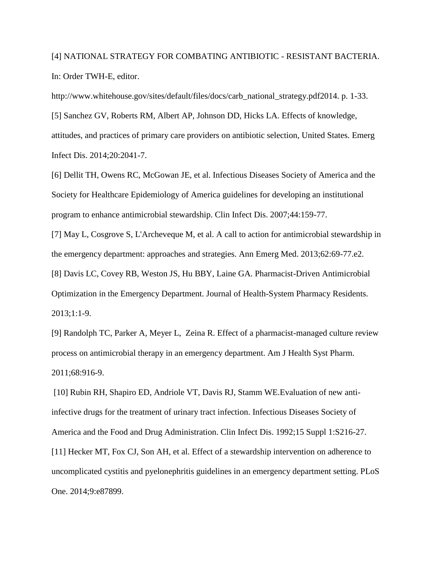# [4] NATIONAL STRATEGY FOR COMBATING ANTIBIOTIC - RESISTANT BACTERIA. In: Order TWH-E, editor.

http://www.whitehouse.gov/sites/default/files/docs/carb\_national\_strategy.pdf2014. p. 1-33.

[5] Sanchez GV, Roberts RM, Albert AP, Johnson DD, Hicks LA. Effects of knowledge, attitudes, and practices of primary care providers on antibiotic selection, United States. Emerg Infect Dis. 2014;20:2041-7.

[6] Dellit TH, Owens RC, McGowan JE, et al. Infectious Diseases Society of America and the Society for Healthcare Epidemiology of America guidelines for developing an institutional program to enhance antimicrobial stewardship. Clin Infect Dis. 2007;44:159-77.

[7] May L, Cosgrove S, L'Archeveque M, et al. A call to action for antimicrobial stewardship in the emergency department: approaches and strategies. Ann Emerg Med. 2013;62:69-77.e2.

[8] Davis LC, Covey RB, Weston JS, Hu BBY, Laine GA. Pharmacist-Driven Antimicrobial Optimization in the Emergency Department. Journal of Health-System Pharmacy Residents. 2013;1:1-9.

[9] Randolph TC, Parker A, Meyer L, Zeina R. Effect of a pharmacist-managed culture review process on antimicrobial therapy in an emergency department. Am J Health Syst Pharm. 2011;68:916-9.

[10] Rubin RH, Shapiro ED, Andriole VT, Davis RJ, Stamm WE.Evaluation of new antiinfective drugs for the treatment of urinary tract infection. Infectious Diseases Society of America and the Food and Drug Administration. Clin Infect Dis. 1992;15 Suppl 1:S216-27. [11] Hecker MT, Fox CJ, Son AH, et al. Effect of a stewardship intervention on adherence to uncomplicated cystitis and pyelonephritis guidelines in an emergency department setting. PLoS One. 2014;9:e87899.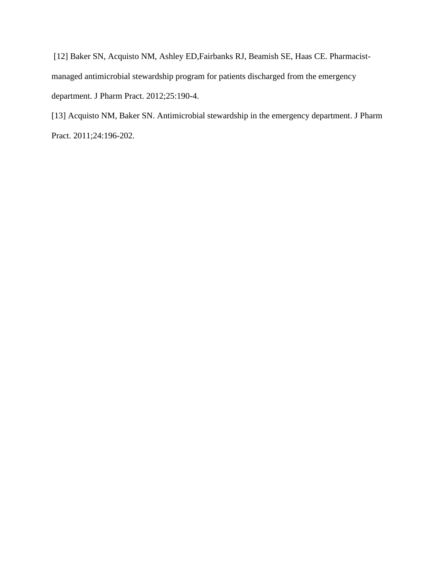[12] Baker SN, Acquisto NM, Ashley ED,Fairbanks RJ, Beamish SE, Haas CE. Pharmacistmanaged antimicrobial stewardship program for patients discharged from the emergency department. J Pharm Pract. 2012;25:190-4.

[13] Acquisto NM, Baker SN. Antimicrobial stewardship in the emergency department. J Pharm Pract. 2011;24:196-202.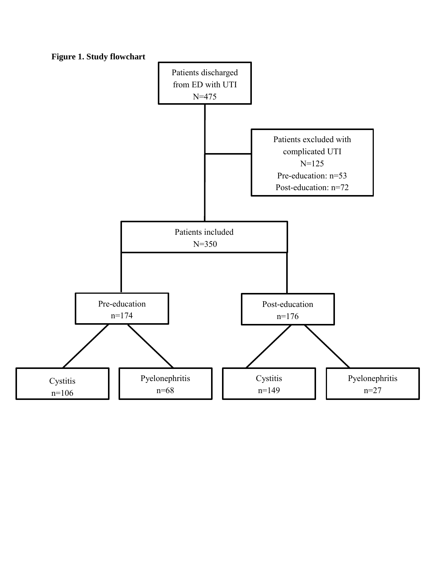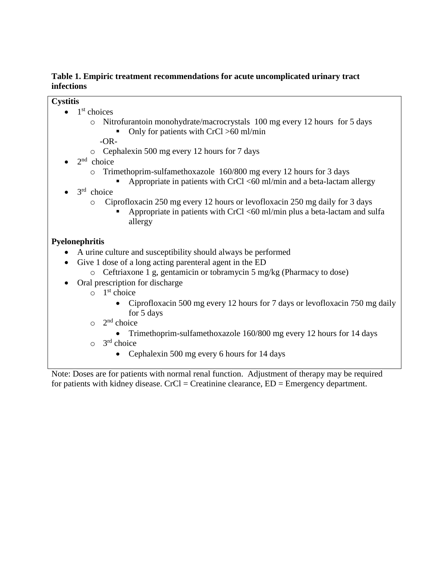## **Table 1. Empiric treatment recommendations for acute uncomplicated urinary tract infections**

## **Cystitis**

- $\bullet$  1<sup>st</sup> choices
	- o Nitrofurantoin monohydrate/macrocrystals 100 mg every 12 hours for 5 days • Only for patients with  $CrCl > 60$  ml/min
		- -OR-
	- o Cephalexin 500 mg every 12 hours for 7 days
- $\bullet$  2<sup>nd</sup> choice
	- o Trimethoprim-sulfamethoxazole 160/800 mg every 12 hours for 3 days
		- Appropriate in patients with CrCl  $\langle 60 \text{ ml/min} \rangle$  and a beta-lactam allergy
- $\bullet$  3<sup>rd</sup> choice
	- o Ciprofloxacin 250 mg every 12 hours or levofloxacin 250 mg daily for 3 days
		- Appropriate in patients with CrCl <60 ml/min plus a beta-lactam and sulfa allergy

# **Pyelonephritis**

- A urine culture and susceptibility should always be performed
- Give 1 dose of a long acting parenteral agent in the ED
	- o Ceftriaxone 1 g, gentamicin or tobramycin 5 mg/kg (Pharmacy to dose)
- Oral prescription for discharge
	- $\circ$  1<sup>st</sup> choice
		- Ciprofloxacin 500 mg every 12 hours for 7 days or levofloxacin 750 mg daily for 5 days
		- $\circ$  2<sup>nd</sup> choice
			- Trimethoprim-sulfamethoxazole 160/800 mg every 12 hours for 14 days
		- $\circ$  3<sup>rd</sup> choice
			- Cephalexin 500 mg every 6 hours for 14 days

Note: Doses are for patients with normal renal function. Adjustment of therapy may be required for patients with kidney disease. CrCl = Creatinine clearance,  $ED =$  Emergency department.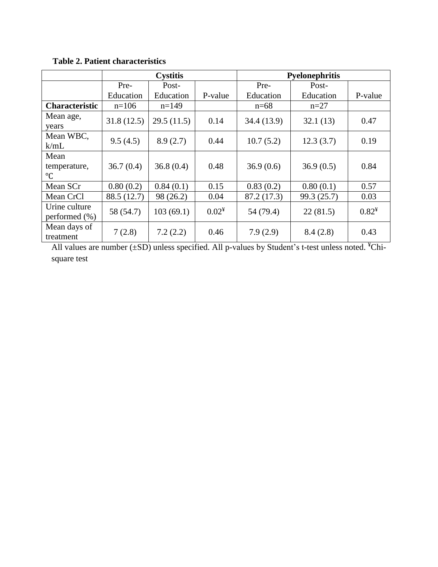|                                     | <b>Cystitis</b> |            |          | <b>Pyelonephritis</b> |             |          |
|-------------------------------------|-----------------|------------|----------|-----------------------|-------------|----------|
|                                     | Pre-            | Post-      |          | Pre-                  | Post-       |          |
|                                     | Education       | Education  | P-value  | Education             | Education   | P-value  |
| <b>Characteristic</b>               | $n=106$         | $n=149$    |          | $n=68$                | $n=27$      |          |
| Mean age,<br>years                  | 31.8(12.5)      | 29.5(11.5) | 0.14     | 34.4 (13.9)           | 32.1(13)    | 0.47     |
| Mean WBC,<br>k/mL                   | 9.5(4.5)        | 8.9(2.7)   | 0.44     | 10.7(5.2)             | 12.3(3.7)   | 0.19     |
| Mean<br>temperature,<br>$^{\circ}C$ | 36.7(0.4)       | 36.8(0.4)  | 0.48     | 36.9(0.6)             | 36.9(0.5)   | 0.84     |
| Mean SCr                            | 0.80(0.2)       | 0.84(0.1)  | 0.15     | 0.83(0.2)             | 0.80(0.1)   | 0.57     |
| Mean CrCl                           | 88.5 (12.7)     | 98 (26.2)  | 0.04     | 87.2 (17.3)           | 99.3 (25.7) | 0.03     |
| Urine culture<br>performed $(\%)$   | 58 (54.7)       | 103(69.1)  | $0.02^*$ | 54 (79.4)             | 22(81.5)    | $0.82^*$ |
| Mean days of<br>treatment           | 7(2.8)          | 7.2(2.2)   | 0.46     | 7.9(2.9)              | 8.4(2.8)    | 0.43     |

**Table 2. Patient characteristics** 

All values are number  $(\pm SD)$  unless specified. All p-values by Student's t-test unless noted.  ${}^{\ddagger}$ Chisquare test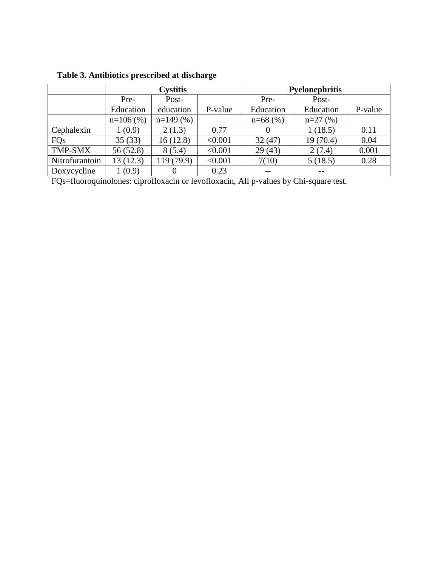|                | <b>Cystitis</b> |            |         | <b>Pyelonephritis</b> |           |         |
|----------------|-----------------|------------|---------|-----------------------|-----------|---------|
|                | Pre-            | Post-      |         | Pre-                  | Post-     |         |
|                | Education       | education  | P-value | Education             | Education | P-value |
|                | $n=106$ (%)     | $n=149(%$  |         | $n=68$ (%)            | $n=27(%)$ |         |
| Cephalexin     | 1(0.9)          | 2(1.3)     | 0.77    | $\theta$              | 1(18.5)   | 0.11    |
| <b>FQs</b>     | 35(33)          | 16(12.8)   | < 0.001 | 32(47)                | 19(70.4)  | 0.04    |
| <b>TMP-SMX</b> | 56(52.8)        | 8(5.4)     | < 0.001 | 29(43)                | 2(7.4)    | 0.001   |
| Nitrofurantoin | 13(12.3)        | 119 (79.9) | < 0.001 | 7(10)                 | 5(18.5)   | 0.28    |
| Doxycycline    | 1(0.9)          |            | 0.23    | $\qquad \qquad -$     | --        |         |

**Table 3. Antibiotics prescribed at discharge** 

FQs=fluoroquinolones: ciprofloxacin or levofloxacin, All p-values by Chi-square test.